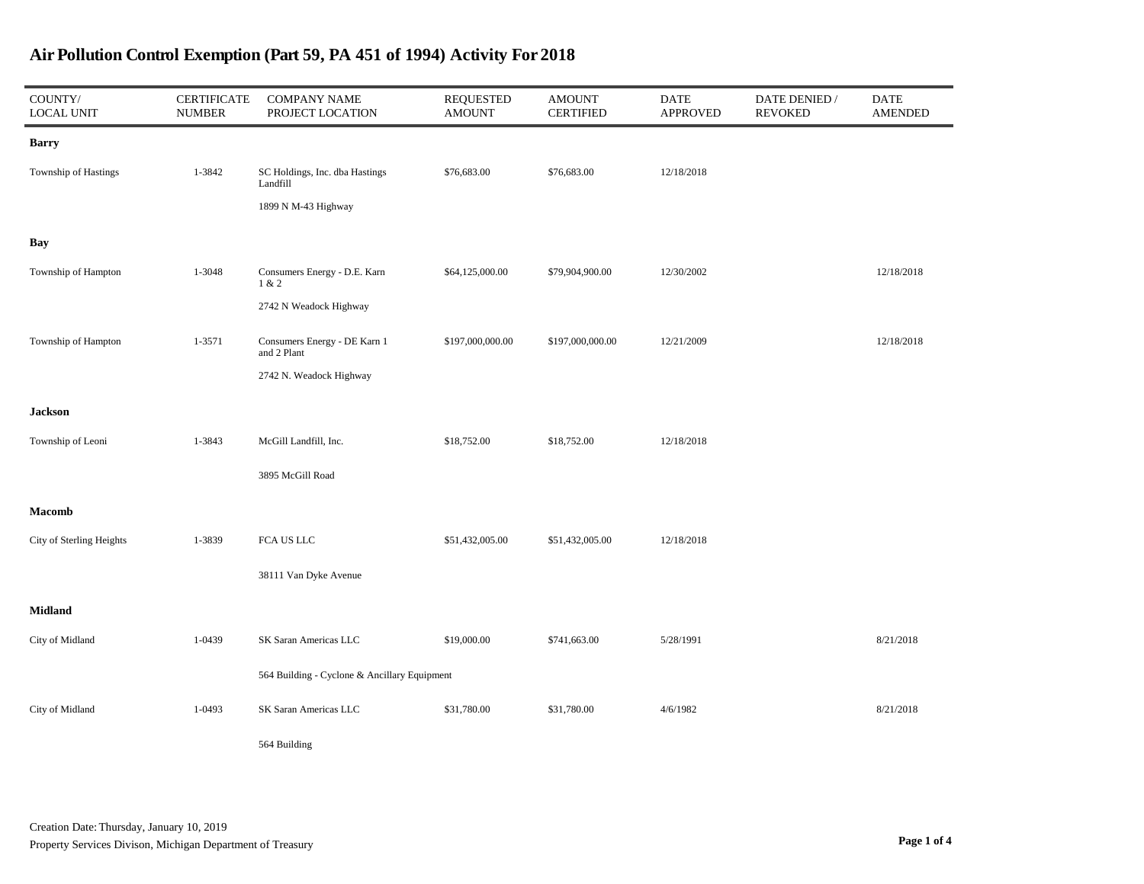| COUNTY/<br><b>LOCAL UNIT</b> | <b>CERTIFICATE</b><br><b>NUMBER</b> | <b>COMPANY NAME</b><br>PROJECT LOCATION      | <b>REQUESTED</b><br><b>AMOUNT</b> | <b>AMOUNT</b><br><b>CERTIFIED</b> | <b>DATE</b><br><b>APPROVED</b> | DATE DENIED /<br><b>REVOKED</b> | <b>DATE</b><br><b>AMENDED</b> |  |
|------------------------------|-------------------------------------|----------------------------------------------|-----------------------------------|-----------------------------------|--------------------------------|---------------------------------|-------------------------------|--|
| Barry                        |                                     |                                              |                                   |                                   |                                |                                 |                               |  |
| Township of Hastings         | 1-3842                              | SC Holdings, Inc. dba Hastings<br>Landfill   | \$76,683.00                       | \$76,683.00                       | 12/18/2018                     |                                 |                               |  |
|                              |                                     | 1899 N M-43 Highway                          |                                   |                                   |                                |                                 |                               |  |
| Bay                          |                                     |                                              |                                   |                                   |                                |                                 |                               |  |
| Township of Hampton          | 1-3048                              | Consumers Energy - D.E. Karn<br>1 & 2        | \$64,125,000.00                   | \$79,904,900.00                   | 12/30/2002                     |                                 | 12/18/2018                    |  |
|                              |                                     | 2742 N Weadock Highway                       |                                   |                                   |                                |                                 |                               |  |
| Township of Hampton          | 1-3571                              | Consumers Energy - DE Karn 1<br>and 2 Plant  | \$197,000,000.00                  | \$197,000,000.00                  | 12/21/2009                     |                                 | 12/18/2018                    |  |
|                              |                                     | 2742 N. Weadock Highway                      |                                   |                                   |                                |                                 |                               |  |
| Jackson                      |                                     |                                              |                                   |                                   |                                |                                 |                               |  |
| Township of Leoni            | 1-3843                              | McGill Landfill, Inc.                        | \$18,752.00                       | \$18,752.00                       | 12/18/2018                     |                                 |                               |  |
|                              |                                     | 3895 McGill Road                             |                                   |                                   |                                |                                 |                               |  |
| Macomb                       |                                     |                                              |                                   |                                   |                                |                                 |                               |  |
| City of Sterling Heights     | 1-3839                              | FCA US LLC                                   | \$51,432,005.00                   | \$51,432,005.00                   | 12/18/2018                     |                                 |                               |  |
|                              |                                     | 38111 Van Dyke Avenue                        |                                   |                                   |                                |                                 |                               |  |
| Midland                      |                                     |                                              |                                   |                                   |                                |                                 |                               |  |
| City of Midland              | 1-0439                              | SK Saran Americas LLC                        | \$19,000.00                       | \$741,663.00                      | 5/28/1991                      |                                 | 8/21/2018                     |  |
|                              |                                     | 564 Building - Cyclone & Ancillary Equipment |                                   |                                   |                                |                                 |                               |  |
| City of Midland              | 1-0493                              | SK Saran Americas LLC                        | \$31,780.00                       | \$31,780.00                       | 4/6/1982                       |                                 | 8/21/2018                     |  |
|                              |                                     | 564 Building                                 |                                   |                                   |                                |                                 |                               |  |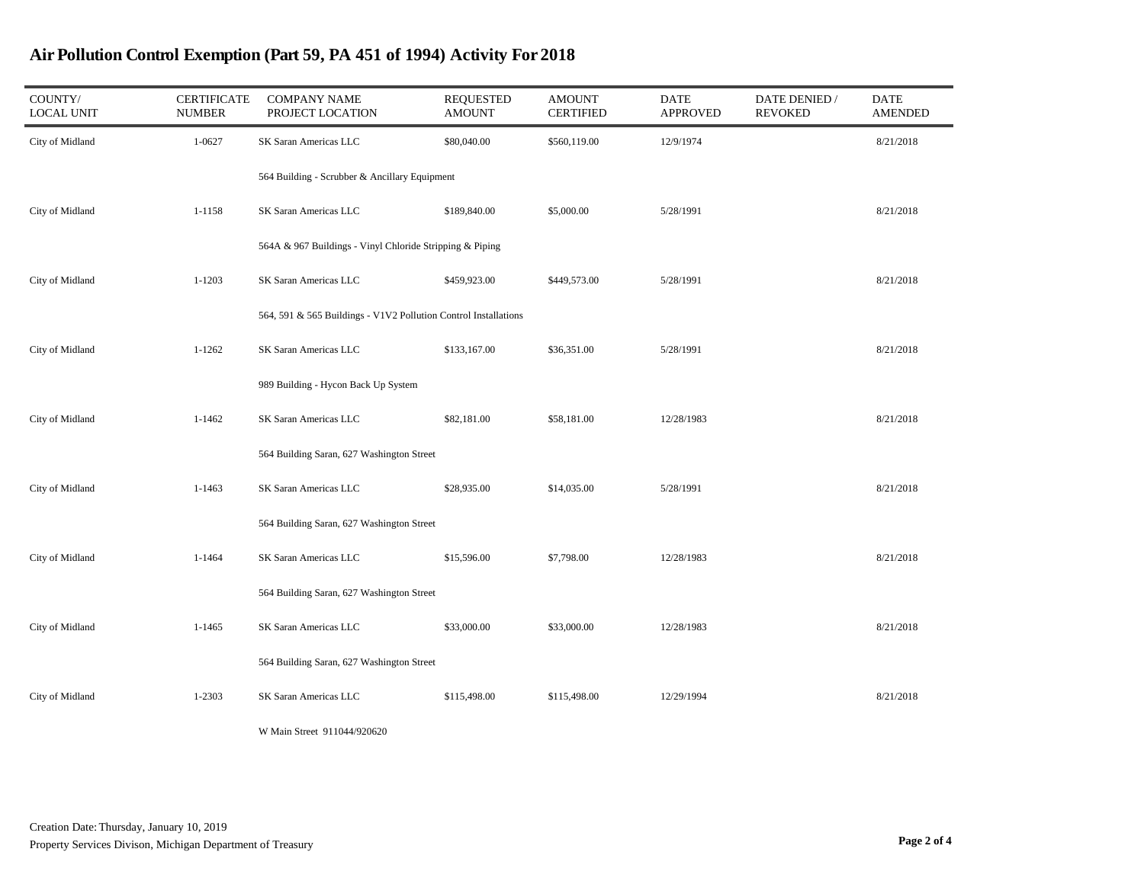| COUNTY/<br><b>LOCAL UNIT</b> | <b>CERTIFICATE</b><br><b>NUMBER</b> | <b>COMPANY NAME</b><br>PROJECT LOCATION                         | <b>REQUESTED</b><br><b>AMOUNT</b> | <b>AMOUNT</b><br><b>CERTIFIED</b> | <b>DATE</b><br><b>APPROVED</b> | DATE DENIED /<br><b>REVOKED</b> | <b>DATE</b><br><b>AMENDED</b> |  |
|------------------------------|-------------------------------------|-----------------------------------------------------------------|-----------------------------------|-----------------------------------|--------------------------------|---------------------------------|-------------------------------|--|
| City of Midland              | 1-0627                              | SK Saran Americas LLC                                           | \$80,040.00                       | \$560,119.00                      | 12/9/1974                      |                                 | 8/21/2018                     |  |
|                              |                                     | 564 Building - Scrubber & Ancillary Equipment                   |                                   |                                   |                                |                                 |                               |  |
| City of Midland              | 1-1158                              | SK Saran Americas LLC                                           | \$189,840.00                      | \$5,000.00                        | 5/28/1991                      |                                 | 8/21/2018                     |  |
|                              |                                     | 564A & 967 Buildings - Vinyl Chloride Stripping & Piping        |                                   |                                   |                                |                                 |                               |  |
| City of Midland              | $1 - 1203$                          | SK Saran Americas LLC                                           | \$459,923.00                      | \$449,573.00                      | 5/28/1991                      |                                 | 8/21/2018                     |  |
|                              |                                     | 564, 591 & 565 Buildings - V1V2 Pollution Control Installations |                                   |                                   |                                |                                 |                               |  |
| City of Midland              | $1 - 1262$                          | SK Saran Americas LLC                                           | \$133,167.00                      | \$36,351.00                       | 5/28/1991                      |                                 | 8/21/2018                     |  |
|                              |                                     | 989 Building - Hycon Back Up System                             |                                   |                                   |                                |                                 |                               |  |
| City of Midland              | $1 - 1462$                          | SK Saran Americas LLC                                           | \$82,181.00                       | \$58,181.00                       | 12/28/1983                     |                                 | 8/21/2018                     |  |
|                              |                                     | 564 Building Saran, 627 Washington Street                       |                                   |                                   |                                |                                 |                               |  |
| City of Midland              | $1 - 1463$                          | SK Saran Americas LLC                                           | \$28,935.00                       | \$14,035.00                       | 5/28/1991                      |                                 | 8/21/2018                     |  |
|                              |                                     | 564 Building Saran, 627 Washington Street                       |                                   |                                   |                                |                                 |                               |  |
| City of Midland              | $1 - 1464$                          | SK Saran Americas LLC                                           | \$15,596.00                       | \$7,798.00                        | 12/28/1983                     |                                 | 8/21/2018                     |  |
|                              |                                     | 564 Building Saran, 627 Washington Street                       |                                   |                                   |                                |                                 |                               |  |
| City of Midland              | $1 - 1465$                          | SK Saran Americas LLC                                           | \$33,000.00                       | \$33,000.00                       | 12/28/1983                     |                                 | 8/21/2018                     |  |
|                              |                                     | 564 Building Saran, 627 Washington Street                       |                                   |                                   |                                |                                 |                               |  |
| City of Midland              | 1-2303                              | SK Saran Americas LLC                                           | \$115,498.00                      | \$115,498.00                      | 12/29/1994                     |                                 | 8/21/2018                     |  |
|                              |                                     | W Main Street 911044/920620                                     |                                   |                                   |                                |                                 |                               |  |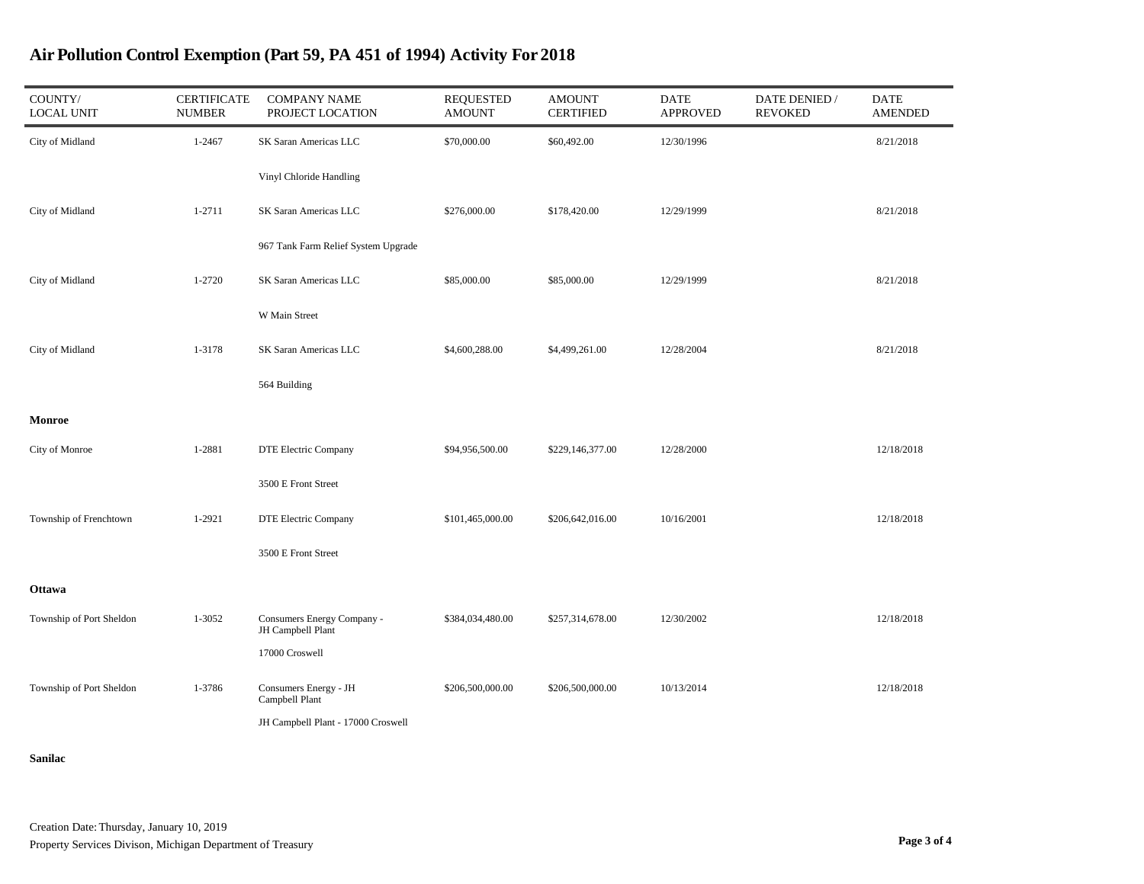| COUNTY/<br><b>LOCAL UNIT</b> | <b>CERTIFICATE</b><br><b>NUMBER</b> | <b>COMPANY NAME</b><br>PROJECT LOCATION         | <b>REQUESTED</b><br><b>AMOUNT</b> | <b>AMOUNT</b><br><b>CERTIFIED</b> | <b>DATE</b><br><b>APPROVED</b> | DATE DENIED /<br><b>REVOKED</b> | <b>DATE</b><br><b>AMENDED</b> |
|------------------------------|-------------------------------------|-------------------------------------------------|-----------------------------------|-----------------------------------|--------------------------------|---------------------------------|-------------------------------|
| City of Midland              | 1-2467                              | SK Saran Americas LLC                           | \$70,000.00                       | \$60,492.00                       | 12/30/1996                     |                                 | 8/21/2018                     |
|                              |                                     | Vinyl Chloride Handling                         |                                   |                                   |                                |                                 |                               |
| City of Midland              | $1 - 2711$                          | SK Saran Americas LLC                           | \$276,000.00                      | \$178,420.00                      | 12/29/1999                     |                                 | 8/21/2018                     |
|                              |                                     | 967 Tank Farm Relief System Upgrade             |                                   |                                   |                                |                                 |                               |
| City of Midland              | 1-2720                              | SK Saran Americas LLC                           | \$85,000.00                       | \$85,000.00                       | 12/29/1999                     |                                 | 8/21/2018                     |
|                              |                                     | W Main Street                                   |                                   |                                   |                                |                                 |                               |
| City of Midland              | 1-3178                              | SK Saran Americas LLC                           | \$4,600,288.00                    | \$4,499,261.00                    | 12/28/2004                     |                                 | 8/21/2018                     |
|                              |                                     | 564 Building                                    |                                   |                                   |                                |                                 |                               |
| Monroe                       |                                     |                                                 |                                   |                                   |                                |                                 |                               |
| City of Monroe               | 1-2881                              | DTE Electric Company                            | \$94,956,500.00                   | \$229,146,377.00                  | 12/28/2000                     |                                 | 12/18/2018                    |
|                              |                                     | 3500 E Front Street                             |                                   |                                   |                                |                                 |                               |
| Township of Frenchtown       | 1-2921                              | DTE Electric Company                            | \$101,465,000.00                  | \$206,642,016.00                  | 10/16/2001                     |                                 | 12/18/2018                    |
|                              |                                     | 3500 E Front Street                             |                                   |                                   |                                |                                 |                               |
| Ottawa                       |                                     |                                                 |                                   |                                   |                                |                                 |                               |
| Township of Port Sheldon     | 1-3052                              | Consumers Energy Company -<br>JH Campbell Plant | \$384,034,480.00                  | \$257,314,678.00                  | 12/30/2002                     |                                 | 12/18/2018                    |
|                              |                                     | 17000 Croswell                                  |                                   |                                   |                                |                                 |                               |
| Township of Port Sheldon     | 1-3786                              | Consumers Energy - JH<br>Campbell Plant         | \$206,500,000.00                  | \$206,500,000.00                  | 10/13/2014                     |                                 | 12/18/2018                    |
|                              |                                     | JH Campbell Plant - 17000 Croswell              |                                   |                                   |                                |                                 |                               |

Sanilac